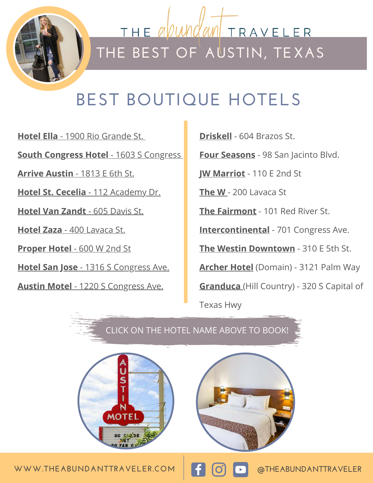

<u>THE abun</u> M TRAVELER **THE BEST OF AUSTIN, TEXAS**

### **BEST BOUTIQUE HOTELS**

**[Hotel Ella](https://www.anrdoezrs.net/links/9185064/type/dlg/https:/www.hotels.com/ho224102/?pa=38&tab=description&ZSX=0&SYE=3&q-room-0-children=0&q-room-0-adults=2)** [- 1900 Rio Grande St.](https://www.anrdoezrs.net/links/9185064/type/dlg/https:/www.hotels.com/ho224102/?pa=38&tab=description&ZSX=0&SYE=3&q-room-0-children=0&q-room-0-adults=2) **[South Congress Hotel](https://www.anrdoezrs.net/links/9185064/type/dlg/https:/www.hotels.com/ho224102/?pa=38&tab=description&ZSX=0&SYE=3&q-room-0-children=0&q-room-0-adults=2)** [- 1603 S Congress](https://www.anrdoezrs.net/links/9185064/type/dlg/https:/www.hotels.com/ho224102/?pa=38&tab=description&ZSX=0&SYE=3&q-room-0-children=0&q-room-0-adults=2)  **[Arrive Austin](https://www.anrdoezrs.net/links/9185064/type/dlg/https:/www.hotels.com/ho224102/?pa=38&tab=description&ZSX=0&SYE=3&q-room-0-children=0&q-room-0-adults=2)** [- 1813 E 6th St.](https://www.anrdoezrs.net/links/9185064/type/dlg/https:/www.hotels.com/ho224102/?pa=38&tab=description&ZSX=0&SYE=3&q-room-0-children=0&q-room-0-adults=2) **[Hotel St. Cecelia](https://www.anrdoezrs.net/links/9185064/type/dlg/https:/www.hotels.com/ho224102/?pa=38&tab=description&ZSX=0&SYE=3&q-room-0-children=0&q-room-0-adults=2)** [- 112 Academy Dr.](https://www.anrdoezrs.net/links/9185064/type/dlg/https:/www.hotels.com/ho224102/?pa=38&tab=description&ZSX=0&SYE=3&q-room-0-children=0&q-room-0-adults=2) **[Hotel Van Zandt](https://www.anrdoezrs.net/links/9185064/type/dlg/https:/www.hotels.com/ho224102/?pa=38&tab=description&ZSX=0&SYE=3&q-room-0-children=0&q-room-0-adults=2)** [- 605 Davis St.](https://www.anrdoezrs.net/links/9185064/type/dlg/https:/www.hotels.com/ho224102/?pa=38&tab=description&ZSX=0&SYE=3&q-room-0-children=0&q-room-0-adults=2) **[Hotel Zaza](https://www.anrdoezrs.net/links/9185064/type/dlg/https:/www.hotels.com/ho224102/?pa=38&tab=description&ZSX=0&SYE=3&q-room-0-children=0&q-room-0-adults=2)** [- 400 Lavaca St.](https://www.anrdoezrs.net/links/9185064/type/dlg/https:/www.hotels.com/ho224102/?pa=38&tab=description&ZSX=0&SYE=3&q-room-0-children=0&q-room-0-adults=2) **[Proper Hotel](https://www.anrdoezrs.net/links/9185064/type/dlg/https:/www.hotels.com/ho224102/?pa=38&tab=description&ZSX=0&SYE=3&q-room-0-children=0&q-room-0-adults=2)** [- 600 W 2nd St](https://www.anrdoezrs.net/links/9185064/type/dlg/https:/www.hotels.com/ho224102/?pa=38&tab=description&ZSX=0&SYE=3&q-room-0-children=0&q-room-0-adults=2) **[Hotel San Jose](https://www.anrdoezrs.net/links/9185064/type/dlg/https:/www.hotels.com/ho224102/?pa=38&tab=description&ZSX=0&SYE=3&q-room-0-children=0&q-room-0-adults=2)** [- 1316 S Congress Ave.](https://www.anrdoezrs.net/links/9185064/type/dlg/https:/www.hotels.com/ho224102/?pa=38&tab=description&ZSX=0&SYE=3&q-room-0-children=0&q-room-0-adults=2) **[Austin Motel](https://www.anrdoezrs.net/links/9185064/type/dlg/https:/www.hotels.com/ho224102/?pa=38&tab=description&ZSX=0&SYE=3&q-room-0-children=0&q-room-0-adults=2)** [- 1220 S Congress Ave.](https://www.anrdoezrs.net/links/9185064/type/dlg/https:/www.hotels.com/ho224102/?pa=38&tab=description&ZSX=0&SYE=3&q-room-0-children=0&q-room-0-adults=2)

**[Driskell](http://tidd.ly/edcbd744)** - 604 Brazos St.

**[Four Seasons](http://tidd.ly/86a9b422)** - 98 San Jacinto Blvd.

**[JW Marriot](http://tidd.ly/202954f7)** - 110 E 2nd St

**[The W](http://tidd.ly/828551f8)** [-](http://tidd.ly/828551f8) 200 Lavaca St

**[The Fairmont](https://www.booking.com/hotel/us/fairmont-austin.html?label=gen173nr-1FCAEoggI46AdIM1gEaLACiAEBmAExuAEHyAEM2AEB6AEB-AECiAIBqAIDuAKe5s73BcACAdICJGQyNmM3MWJiLTU1YTItNGM5NC1iZGFlLTZjMjJlN2RlZDRjNNgCBeACAQ;sid=c3d787c104c8dd4bc0ee3f0433a1a0c1;dest_id=20126394;dest_type=city;dist=0;group_adults=2;group_children=0;hapos=1;hpos=1;no_rooms=1;room1=A%2CA;sb_price_type=total;sr_order=popularity;srepoch=1593030982;srpvid=683c90e34d69020c;type=total;ucfs=1&#hotelTmpl)** - 101 Red River St.

**[Intercontinental](http://tidd.ly/cb3f612b)** - 701 Congress Ave.

**[The Westin Downtown](http://tidd.ly/42b5ff1c)** - 310 E 5th St.

**[Archer Hotel](http://tidd.ly/be759f80)** (Domain) - 3121 Palm Way

**[Granduca](http://tidd.ly/f52c1027)** [\(](http://tidd.ly/f52c1027)Hill Country) - 320 S Capital of

Texas Hwy

CLICK ON THE HOTEL NAME ABOVE TO BOOK!



WWW.THEABUNDANTTRAVELER.COM **ESSEE A** O **FEABUNDANTTRAVELER**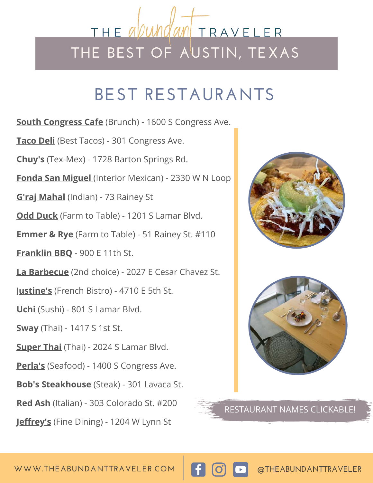### <u>THE abun</u> TRAVELER **THE BEST OF AUSTIN, TEXAS**

### **BEST RESTAURANTS**

**[South Congress Cafe](http://southcongresscafe.com/)** (Brunch) - 1600 S Congress Ave.

**[Taco Deli](http://tacodeli.com/)** (Best Tacos) - 301 Congress Ave.

**[Chuy's](https://www.chuys.com/)** (Tex-Mex) - 1728 Barton Springs Rd.

**[Fonda San Miguel](http://www.fondasanmiguel.com/)**(Interior Mexican) - 2330 W N Loop

**[G'raj Mahal](http://grajmahalaustin.com/)** (Indian) - 73 Rainey St

**[Odd Duck](http://oddduckaustin.com/)** (Farm to Table) - 1201 S Lamar Blvd.

**[Emmer & Rye](http://emmerandrye.com/)** (Farm to Table) - 51 Rainey St. #110

**[Franklin BBQ](http://franklinbarbecue.com/)** - 900 E 11th St.

**[La Barbecue](https://www.labarbecue.com/)** (2nd choice) - 2027 E Cesar Chavez St.

[J](https://www.justines1937.com/)**[ustine's](https://www.justines1937.com/)** (French Bistro) - 4710 E 5th St.

**[Uchi](http://uchiaustin.com/)** (Sushi) - 801 S Lamar Blvd.

**[Sway](http://swaythai.com/)** (Thai) - 1417 S 1st St.

**[Super Thai](https://superthaicuisine.com/)** (Thai) - 2024 S Lamar Blvd.

**[Perla's](http://perlasaustin.com/)** (Seafood) - 1400 S Congress Ave.

**[Bob's Steakhouse](http://www.bobs-steakandchop.com/austin/)** (Steak) - 301 Lavaca St.

**[Red Ash](http://www.redashgrill.com/)** (Italian) - 303 Colorado St. #200

**[Jeffrey's](http://jeffreysofaustin.com/)** (Fine Dining) - 1204 W Lynn St





RESTAURANT NAMES CLICKABLE!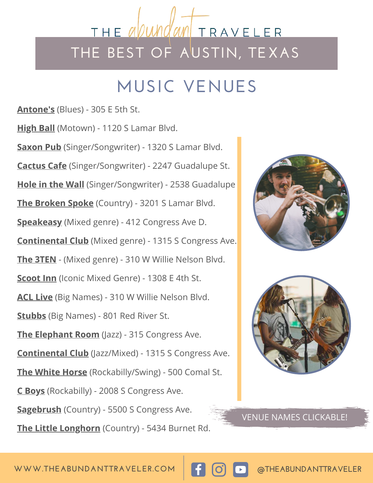# THE apun MTRAVELER **THE BEST OF AUSTIN, TEXAS**

# **MUSIC VENUES**

**[Antone's](https://www.antonesnightclub.com/)** (Blues) - 305 E 5th St.

**[High Ball](http://thehighball.com/)** (Motown) - 1120 S Lamar Blvd. **[Saxon Pub](https://www.thesaxonpub.com/)** (Singer/Songwriter) - 1320 S Lamar Blvd. **[Cactus Cafe](https://cactuscafe.org/)** (Singer/Songwriter) - 2247 Guadalupe St. **[Hole in the Wall](https://www.holeinthewallaustin.com/)** (Singer/Songwriter) - 2538 Guadalup[e](https://amzn.to/3g4jgIX)  **[The Broken Spoke](https://www.brokenspokeaustintx.net/)** (Country) - 3201 S Lamar Blvd. **[Speakeasy](http://speakeasyaustin.com/)** (Mixed genre) - 412 Congress Ave D. **[Continental Club](https://continentalclub.com/)** (Mixed genre) - 1315 S Congress Ave. **[The 3TEN](https://3tenaustin.com/)** - (Mixed genre) - 310 W Willie Nelson Blvd. **[Scoot Inn](https://scootinnaustin.com/)** (Iconic Mixed Genre) - 1308 E 4th St. **[ACL Live](https://acl-live.com/)** (Big Names) - 310 W Willie Nelson Blvd. **[Stubbs](https://www.stubbsaustin.com/)** (Big Names) - 801 Red River St. **[The Elephant Room](https://www.elephantroom.com/)** (Jazz) - 315 Congress Ave. **[Continental Club](https://continentalclub.com/)** (Jazz/Mixed) - 1315 S Congress Ave. **[The White Horse](https://www.thewhitehorseaustin.com/)** (Rockabilly/Swing) - 500 Comal St. **[C Boys](https://www.cboys.com/)** (Rockabilly) - 2008 S Congress Ave. **[Sagebrush](https://sagebrushtexas.com/)** (Country) - 5500 S Congress Ave.

**[The Little Longhorn](https://thelittlelonghornsaloon.com/)** (Country) - 5434 Burnet Rd.





VENUE NAMES CLICKABLE!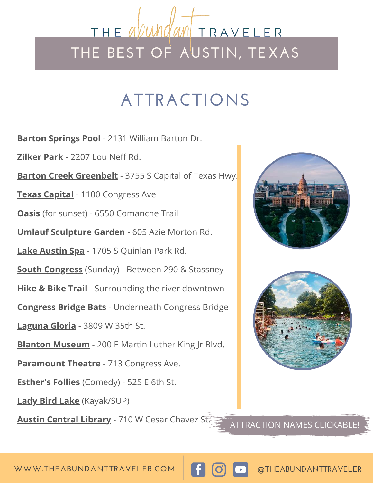### THE a*pun* M TRAVELER **THE BEST OF AUSTIN, TEXAS**

# **ATTRACTIONS**

**[Barton Springs Pool](http://austintexas.gov/page/pools-splash-pads)** - 2131 William Barton Dr.

**[Zilker Park](https://austintexas.gov/department/zilker-metropolitan-park)** - 2207 Lou Neff Rd.

**[Barton Creek Greenbelt](https://austinparks.org/barton-creek-greenbelt/)** - 3755 S Capital of Texas Hwy.

**[Texas Capital](https://tspb.texas.gov/prop/tc/tc/capitol.html)** - 1100 Congress Ave

**[Oasis](https://oasis-austin.com/)** (for sunset) - 6550 Comanche Trail

**[Umlauf Sculpture Garden](https://www.umlaufsculpture.org/)** - 605 Azie Morton Rd.

**[Lake Austin Spa](https://www.lakeaustin.com/?utm_source=google-gmb&utm_medium=organic&utm_campaign=gmb)** - 1705 S Quinlan Park Rd.

**[South Congress](https://goo.gl/maps/pugobit1ZwGTug3L6)** (Sunday) - Between 290 & Stassney

**[Hike & Bike Trail](https://goo.gl/maps/YVbkA7nYb6qba9Q56)** - Surrounding the river downtown

**[Congress Bridge Bats](https://goo.gl/maps/HqMxovBKWHwpHS278)** - Underneath Congress Bridge

**[Laguna Gloria](http://www.thecontemporaryaustin.org/)** - 3809 W 35th St.

**[Blanton Museum](http://www.blantonmuseum.org/)** - 200 E Martin Luther King Jr Blvd.

**[Paramount Theatre](http://www.austintheatre.org/)** - 713 Congress Ave.

**[Esther's Follies](https://www.esthersfollies.com/)** (Comedy) - 525 E 6th St.

**[Lady Bird Lake](https://goo.gl/maps/tkJeQP3iQEYZRGpr6)** (Kayak/SUP)

**[Austin Central Library](http://library.austintexas.gov/central-library)** - 710 W Cesar Chavez St. **ATTRACTION NAMES CLICKABLE!** 





**WWW.THEABUNDANTTRAVELER.COM @THEABUNDANTTRAVELER**